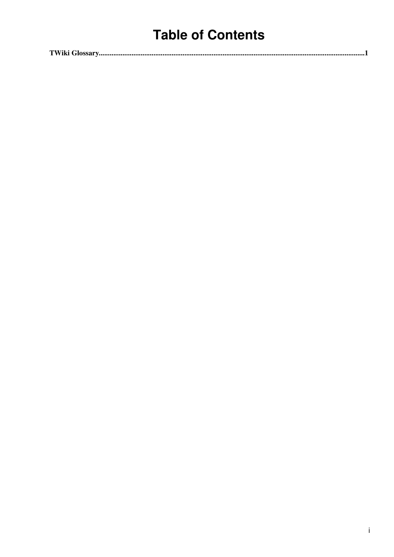## **Table of Contents**

|--|--|--|--|